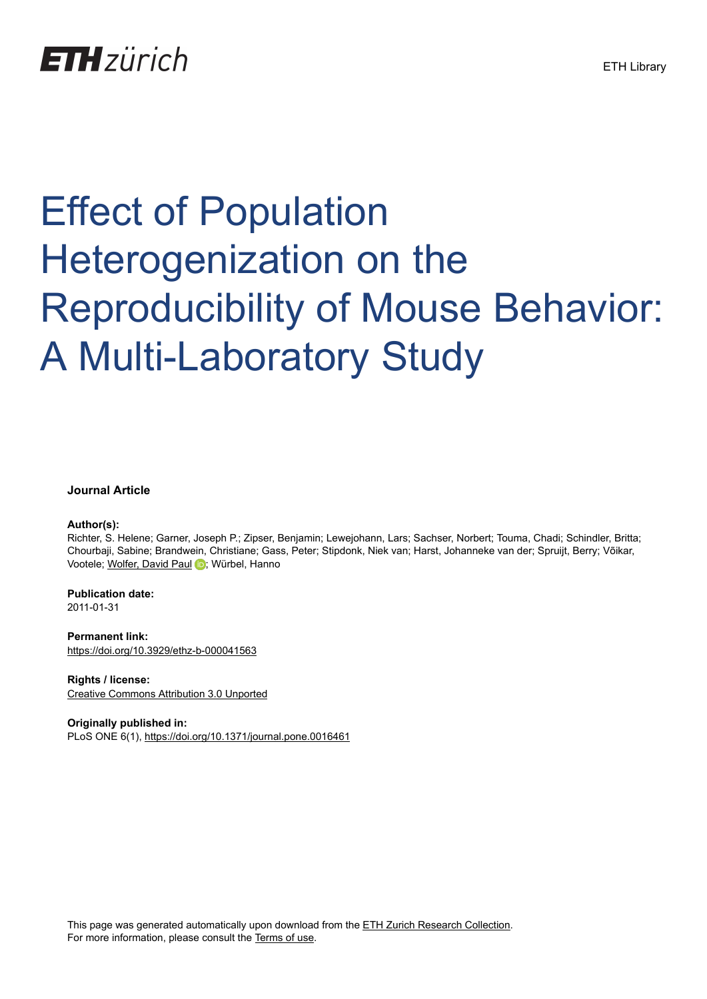

# Effect of Population Heterogenization on the Reproducibility of Mouse Behavior: A Multi-Laboratory Study

# **Journal Article**

### **Author(s):**

Richter, S. Helene; Garner, Joseph P.; Zipser, Benjamin; Lewejohann, Lars; Sachser, Norbert; Touma, Chadi; Schindler, Britta; Chourbaji, Sabine; Brandwein, Christiane; Gass, Peter; Stipdonk, Niek van; Harst, Johanneke van der; Spruijt, Berry; Võikar, Vootele; [Wolfer, David Paul](https://orcid.org/0000-0002-5957-1401) D; Würbel, Hanno

**Publication date:** 2011-01-31

**Permanent link:** <https://doi.org/10.3929/ethz-b-000041563>

**Rights / license:** [Creative Commons Attribution 3.0 Unported](http://creativecommons.org/licenses/by/3.0/)

**Originally published in:** PLoS ONE 6(1), <https://doi.org/10.1371/journal.pone.0016461>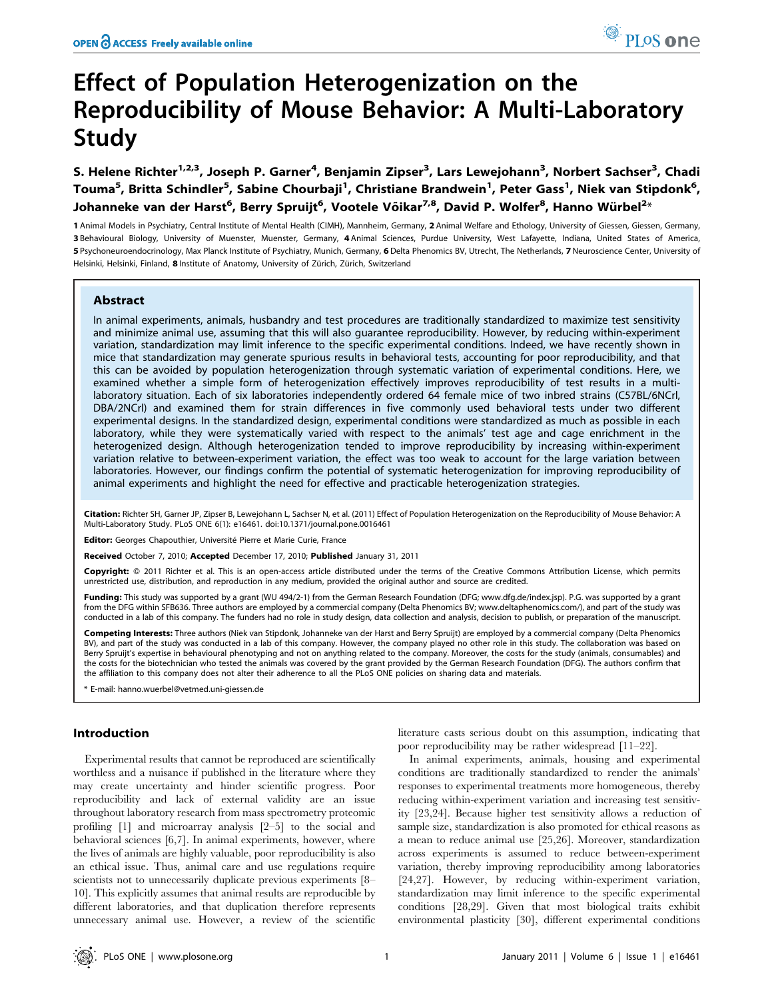# Effect of Population Heterogenization on the Reproducibility of Mouse Behavior: A Multi-Laboratory Study

S. Helene Richter<sup>1,2,3</sup>, Joseph P. Garner<sup>4</sup>, Benjamin Zipser<sup>3</sup>, Lars Lewejohann<sup>3</sup>, Norbert Sachser<sup>3</sup>, Chadi Touma<sup>5</sup>, Britta Schindler<sup>5</sup>, Sabine Chourbaji<sup>1</sup>, Christiane Brandwein<sup>1</sup>, Peter Gass<sup>1</sup>, Niek van Stipdonk<sup>6</sup>, Johanneke van der Harst<sup>6</sup>, Berry Spruijt<sup>6</sup>, Vootele Võikar<sup>7,8</sup>, David P. Wolfer<sup>8</sup>, Hanno Würbel<sup>2</sup>\*

 Animal Models in Psychiatry, Central Institute of Mental Health (CIMH), Mannheim, Germany, 2 Animal Welfare and Ethology, University of Giessen, Giessen, Germany, Behavioural Biology, University of Muenster, Muenster, Germany, 4 Animal Sciences, Purdue University, West Lafayette, Indiana, United States of America, Psychoneuroendocrinology, Max Planck Institute of Psychiatry, Munich, Germany, 6 Delta Phenomics BV, Utrecht, The Netherlands, 7 Neuroscience Center, University of Helsinki, Helsinki, Finland, 8 Institute of Anatomy, University of Zürich, Zürich, Switzerland

### Abstract

In animal experiments, animals, husbandry and test procedures are traditionally standardized to maximize test sensitivity and minimize animal use, assuming that this will also guarantee reproducibility. However, by reducing within-experiment variation, standardization may limit inference to the specific experimental conditions. Indeed, we have recently shown in mice that standardization may generate spurious results in behavioral tests, accounting for poor reproducibility, and that this can be avoided by population heterogenization through systematic variation of experimental conditions. Here, we examined whether a simple form of heterogenization effectively improves reproducibility of test results in a multilaboratory situation. Each of six laboratories independently ordered 64 female mice of two inbred strains (C57BL/6NCrl, DBA/2NCrl) and examined them for strain differences in five commonly used behavioral tests under two different experimental designs. In the standardized design, experimental conditions were standardized as much as possible in each laboratory, while they were systematically varied with respect to the animals' test age and cage enrichment in the heterogenized design. Although heterogenization tended to improve reproducibility by increasing within-experiment variation relative to between-experiment variation, the effect was too weak to account for the large variation between laboratories. However, our findings confirm the potential of systematic heterogenization for improving reproducibility of animal experiments and highlight the need for effective and practicable heterogenization strategies.

Citation: Richter SH, Garner JP, Zipser B, Lewejohann L, Sachser N, et al. (2011) Effect of Population Heterogenization on the Reproducibility of Mouse Behavior: A Multi-Laboratory Study. PLoS ONE 6(1): e16461. doi:10.1371/journal.pone.0016461

**Editor:** Georges Chapouthier, Université Pierre et Marie Curie, France

Received October 7, 2010; Accepted December 17, 2010; Published January 31, 2011

Copyright: © 2011 Richter et al. This is an open-access article distributed under the terms of the Creative Commons Attribution License, which permits unrestricted use, distribution, and reproduction in any medium, provided the original author and source are credited.

Funding: This study was supported by a grant (WU 494/2-1) from the German Research Foundation (DFG; www.dfg.de/index.jsp). P.G. was supported by a grant from the DFG within SFB636. Three authors are employed by a commercial company (Delta Phenomics BV; www.deltaphenomics.com/), and part of the study was conducted in a lab of this company. The funders had no role in study design, data collection and analysis, decision to publish, or preparation of the manuscript.

Competing Interests: Three authors (Niek van Stipdonk, Johanneke van der Harst and Berry Spruijt) are employed by a commercial company (Delta Phenomics BV), and part of the study was conducted in a lab of this company. However, the company played no other role in this study. The collaboration was based on Berry Spruijt's expertise in behavioural phenotyping and not on anything related to the company. Moreover, the costs for the study (animals, consumables) and the costs for the biotechnician who tested the animals was covered by the grant provided by the German Research Foundation (DFG). The authors confirm that the affiliation to this company does not alter their adherence to all the PLoS ONE policies on sharing data and materials.

\* E-mail: hanno.wuerbel@vetmed.uni-giessen.de

#### Introduction

Experimental results that cannot be reproduced are scientifically worthless and a nuisance if published in the literature where they may create uncertainty and hinder scientific progress. Poor reproducibility and lack of external validity are an issue throughout laboratory research from mass spectrometry proteomic profiling [1] and microarray analysis [2–5] to the social and behavioral sciences [6,7]. In animal experiments, however, where the lives of animals are highly valuable, poor reproducibility is also an ethical issue. Thus, animal care and use regulations require scientists not to unnecessarily duplicate previous experiments [8– 10]. This explicitly assumes that animal results are reproducible by different laboratories, and that duplication therefore represents unnecessary animal use. However, a review of the scientific

literature casts serious doubt on this assumption, indicating that poor reproducibility may be rather widespread [11–22].

In animal experiments, animals, housing and experimental conditions are traditionally standardized to render the animals' responses to experimental treatments more homogeneous, thereby reducing within-experiment variation and increasing test sensitivity [23,24]. Because higher test sensitivity allows a reduction of sample size, standardization is also promoted for ethical reasons as a mean to reduce animal use [25,26]. Moreover, standardization across experiments is assumed to reduce between-experiment variation, thereby improving reproducibility among laboratories [24,27]. However, by reducing within-experiment variation, standardization may limit inference to the specific experimental conditions [28,29]. Given that most biological traits exhibit environmental plasticity [30], different experimental conditions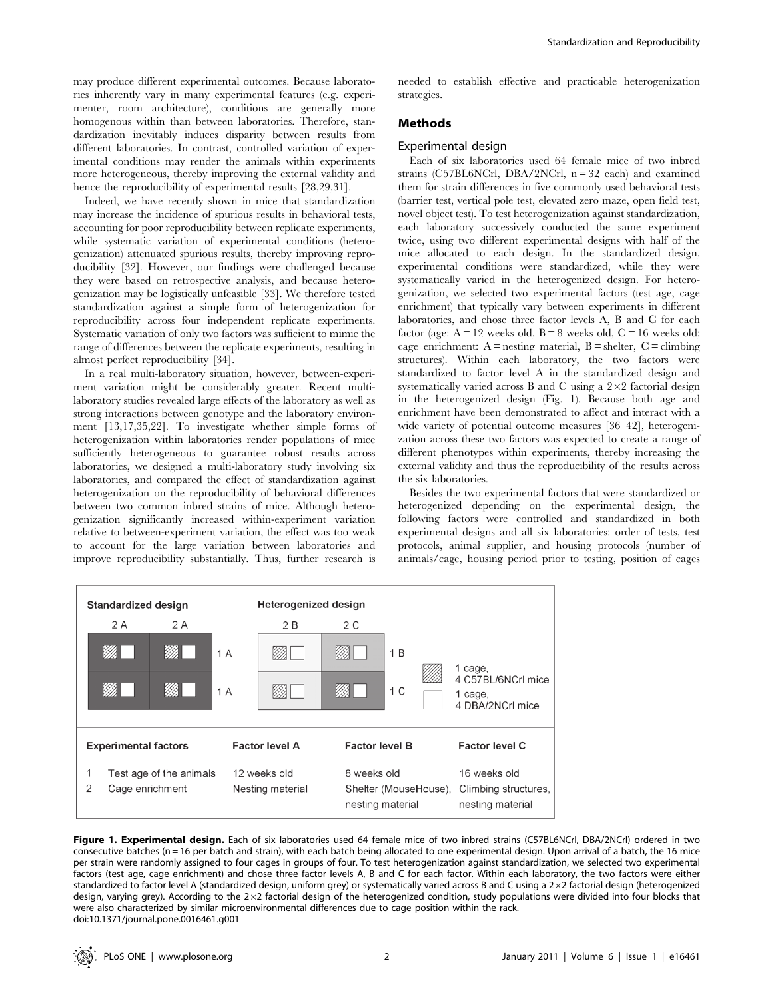may produce different experimental outcomes. Because laboratories inherently vary in many experimental features (e.g. experimenter, room architecture), conditions are generally more homogenous within than between laboratories. Therefore, standardization inevitably induces disparity between results from different laboratories. In contrast, controlled variation of experimental conditions may render the animals within experiments more heterogeneous, thereby improving the external validity and hence the reproducibility of experimental results [28,29,31].

Indeed, we have recently shown in mice that standardization may increase the incidence of spurious results in behavioral tests, accounting for poor reproducibility between replicate experiments, while systematic variation of experimental conditions (heterogenization) attenuated spurious results, thereby improving reproducibility [32]. However, our findings were challenged because they were based on retrospective analysis, and because heterogenization may be logistically unfeasible [33]. We therefore tested standardization against a simple form of heterogenization for reproducibility across four independent replicate experiments. Systematic variation of only two factors was sufficient to mimic the range of differences between the replicate experiments, resulting in almost perfect reproducibility [34].

In a real multi-laboratory situation, however, between-experiment variation might be considerably greater. Recent multilaboratory studies revealed large effects of the laboratory as well as strong interactions between genotype and the laboratory environment [13,17,35,22]. To investigate whether simple forms of heterogenization within laboratories render populations of mice sufficiently heterogeneous to guarantee robust results across laboratories, we designed a multi-laboratory study involving six laboratories, and compared the effect of standardization against heterogenization on the reproducibility of behavioral differences between two common inbred strains of mice. Although heterogenization significantly increased within-experiment variation relative to between-experiment variation, the effect was too weak to account for the large variation between laboratories and improve reproducibility substantially. Thus, further research is

needed to establish effective and practicable heterogenization strategies.

# Methods

# Experimental design

Each of six laboratories used 64 female mice of two inbred strains (C57BL6NCrl, DBA/2NCrl,  $n = 32$  each) and examined them for strain differences in five commonly used behavioral tests (barrier test, vertical pole test, elevated zero maze, open field test, novel object test). To test heterogenization against standardization, each laboratory successively conducted the same experiment twice, using two different experimental designs with half of the mice allocated to each design. In the standardized design, experimental conditions were standardized, while they were systematically varied in the heterogenized design. For heterogenization, we selected two experimental factors (test age, cage enrichment) that typically vary between experiments in different laboratories, and chose three factor levels A, B and C for each factor (age:  $A = 12$  weeks old,  $B = 8$  weeks old,  $C = 16$  weeks old; cage enrichment:  $A =$  nesting material,  $B =$  shelter,  $C =$  climbing structures). Within each laboratory, the two factors were standardized to factor level A in the standardized design and systematically varied across B and C using a  $2\times 2$  factorial design in the heterogenized design (Fig. 1). Because both age and enrichment have been demonstrated to affect and interact with a wide variety of potential outcome measures [36–42], heterogenization across these two factors was expected to create a range of different phenotypes within experiments, thereby increasing the external validity and thus the reproducibility of the results across the six laboratories.

Besides the two experimental factors that were standardized or heterogenized depending on the experimental design, the following factors were controlled and standardized in both experimental designs and all six laboratories: order of tests, test protocols, animal supplier, and housing protocols (number of animals/cage, housing period prior to testing, position of cages



Figure 1. Experimental design. Each of six laboratories used 64 female mice of two inbred strains (C57BL6NCrl, DBA/2NCrl) ordered in two consecutive batches (n = 16 per batch and strain), with each batch being allocated to one experimental design. Upon arrival of a batch, the 16 mice per strain were randomly assigned to four cages in groups of four. To test heterogenization against standardization, we selected two experimental factors (test age, cage enrichment) and chose three factor levels A, B and C for each factor. Within each laboratory, the two factors were either standardized to factor level A (standardized design, uniform grey) or systematically varied across B and C using a  $2 \times 2$  factorial design (heterogenized design, varying grey). According to the  $2\times2$  factorial design of the heterogenized condition, study populations were divided into four blocks that were also characterized by similar microenvironmental differences due to cage position within the rack. doi:10.1371/journal.pone.0016461.g001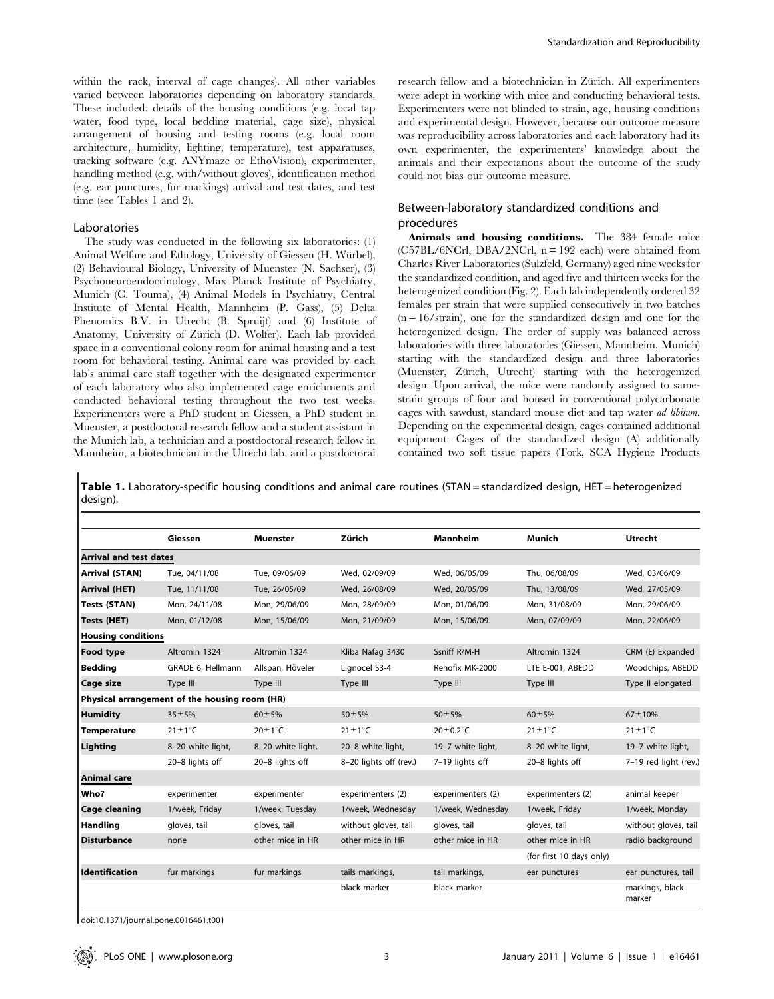within the rack, interval of cage changes). All other variables varied between laboratories depending on laboratory standards. These included: details of the housing conditions (e.g. local tap water, food type, local bedding material, cage size), physical arrangement of housing and testing rooms (e.g. local room architecture, humidity, lighting, temperature), test apparatuses, tracking software (e.g. ANYmaze or EthoVision), experimenter, handling method (e.g. with/without gloves), identification method (e.g. ear punctures, fur markings) arrival and test dates, and test time (see Tables 1 and 2).

### Laboratories

The study was conducted in the following six laboratories: (1) Animal Welfare and Ethology, University of Giessen (H. Würbel), (2) Behavioural Biology, University of Muenster (N. Sachser), (3) Psychoneuroendocrinology, Max Planck Institute of Psychiatry, Munich (C. Touma), (4) Animal Models in Psychiatry, Central Institute of Mental Health, Mannheim (P. Gass), (5) Delta Phenomics B.V. in Utrecht (B. Spruijt) and (6) Institute of Anatomy, University of Zürich (D. Wolfer). Each lab provided space in a conventional colony room for animal housing and a test room for behavioral testing. Animal care was provided by each lab's animal care staff together with the designated experimenter of each laboratory who also implemented cage enrichments and conducted behavioral testing throughout the two test weeks. Experimenters were a PhD student in Giessen, a PhD student in Muenster, a postdoctoral research fellow and a student assistant in the Munich lab, a technician and a postdoctoral research fellow in Mannheim, a biotechnician in the Utrecht lab, and a postdoctoral research fellow and a biotechnician in Zürich. All experimenters were adept in working with mice and conducting behavioral tests. Experimenters were not blinded to strain, age, housing conditions and experimental design. However, because our outcome measure was reproducibility across laboratories and each laboratory had its own experimenter, the experimenters' knowledge about the animals and their expectations about the outcome of the study could not bias our outcome measure.

## Between-laboratory standardized conditions and procedures

Animals and housing conditions. The 384 female mice  $(C57BL/6NCrL)$ , DBA/2NCrl,  $n = 192$  each) were obtained from Charles River Laboratories (Sulzfeld, Germany) aged nine weeks for the standardized condition, and aged five and thirteen weeks for the heterogenized condition (Fig. 2). Each lab independently ordered 32 females per strain that were supplied consecutively in two batches  $(n = 16/\text{strain})$ , one for the standardized design and one for the heterogenized design. The order of supply was balanced across laboratories with three laboratories (Giessen, Mannheim, Munich) starting with the standardized design and three laboratories (Muenster, Zürich, Utrecht) starting with the heterogenized design. Upon arrival, the mice were randomly assigned to samestrain groups of four and housed in conventional polycarbonate cages with sawdust, standard mouse diet and tap water ad libitum. Depending on the experimental design, cages contained additional equipment: Cages of the standardized design (A) additionally contained two soft tissue papers (Tork, SCA Hygiene Products

Table 1. Laboratory-specific housing conditions and animal care routines (STAN = standardized design, HET = heterogenized design).

|                               | Giessen                                       | <b>Muenster</b>      | Zürich                 | <b>Mannheim</b>      | Munich                   | <b>Utrecht</b>            |  |
|-------------------------------|-----------------------------------------------|----------------------|------------------------|----------------------|--------------------------|---------------------------|--|
| <b>Arrival and test dates</b> |                                               |                      |                        |                      |                          |                           |  |
| <b>Arrival (STAN)</b>         | Tue. 04/11/08                                 | Tue, 09/06/09        | Wed, 02/09/09          | Wed. 06/05/09        | Thu, 06/08/09            | Wed, 03/06/09             |  |
| Arrival (HET)                 | Tue, 11/11/08                                 | Tue, 26/05/09        | Wed, 26/08/09          | Wed, 20/05/09        | Thu, 13/08/09            | Wed, 27/05/09             |  |
| <b>Tests (STAN)</b>           | Mon. 24/11/08                                 | Mon. 29/06/09        | Mon. 28/09/09          | Mon. 01/06/09        | Mon. 31/08/09            | Mon. 29/06/09             |  |
| Tests (HET)                   | Mon, 01/12/08                                 | Mon, 15/06/09        | Mon, 21/09/09          | Mon, 15/06/09        | Mon, 07/09/09            | Mon, 22/06/09             |  |
| <b>Housing conditions</b>     |                                               |                      |                        |                      |                          |                           |  |
| Food type                     | Altromin 1324                                 | Altromin 1324        | Kliba Nafaq 3430       | Ssniff R/M-H         | Altromin 1324            | CRM (E) Expanded          |  |
| <b>Bedding</b>                | GRADE 6, Hellmann                             | Allspan, Höveler     | Lignocel S3-4          | Rehofix MK-2000      | LTE E-001, ABEDD         | Woodchips, ABEDD          |  |
| Cage size                     | Type III                                      | Type III             | Type III               | Type III             | Type III                 | Type II elongated         |  |
|                               | Physical arrangement of the housing room (HR) |                      |                        |                      |                          |                           |  |
| <b>Humidity</b>               | $35 + 5%$                                     | $60 + 5%$            | $50 + 5%$              | $50 + 5%$            | $60 + 5%$                | $67 + 10%$                |  |
| <b>Temperature</b>            | $21 \pm 1$ °C                                 | $20 \pm 1^{\circ}$ C | $21 \pm 1^{\circ}$ C   | $20\pm0.2^{\circ}$ C | $21 \pm 1^{\circ}$ C     | $21 \pm 1^{\circ}$ C      |  |
| Lighting                      | 8-20 white light,                             | 8-20 white light,    | 20-8 white light,      | 19-7 white light,    | 8-20 white light,        | 19-7 white light,         |  |
|                               | 20-8 lights off                               | 20-8 lights off      | 8-20 lights off (rev.) | 7-19 lights off      | 20-8 lights off          | 7-19 red light (rev.)     |  |
| Animal care                   |                                               |                      |                        |                      |                          |                           |  |
| Who?                          | experimenter                                  | experimenter         | experimenters (2)      | experimenters (2)    | experimenters (2)        | animal keeper             |  |
| <b>Cage cleaning</b>          | 1/week, Friday                                | 1/week, Tuesday      | 1/week, Wednesday      | 1/week, Wednesday    | 1/week, Friday           | 1/week, Monday            |  |
| Handling                      | gloves, tail                                  | gloves, tail         | without gloves, tail   | gloves, tail         | gloves, tail             | without gloves, tail      |  |
| <b>Disturbance</b>            | none                                          | other mice in HR     | other mice in HR       | other mice in HR     | other mice in HR         | radio background          |  |
|                               |                                               |                      |                        |                      | (for first 10 days only) |                           |  |
| <b>Identification</b>         | fur markings                                  | fur markings         | tails markings,        | tail markings,       | ear punctures            | ear punctures, tail       |  |
|                               |                                               |                      | black marker           | black marker         |                          | markings, black<br>marker |  |

doi:10.1371/journal.pone.0016461.t001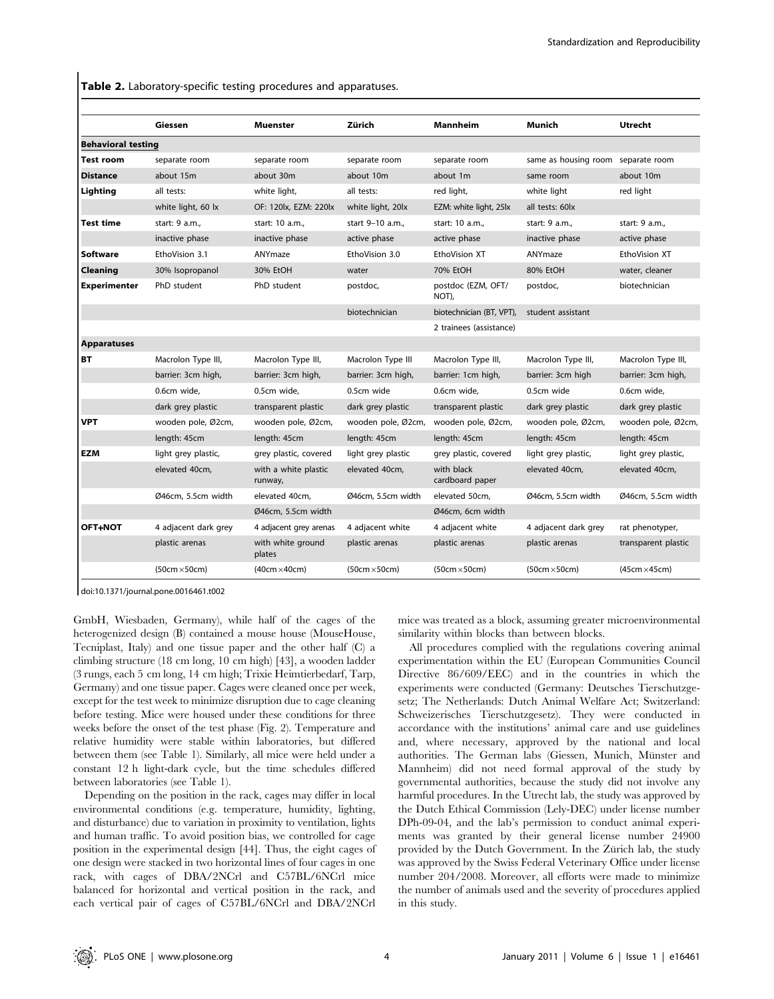Table 2. Laboratory-specific testing procedures and apparatuses.

|                           | Giessen              | <b>Muenster</b>                 | Zürich               | Mannheim                      | Munich                             | <b>Utrecht</b>       |  |
|---------------------------|----------------------|---------------------------------|----------------------|-------------------------------|------------------------------------|----------------------|--|
| <b>Behavioral testing</b> |                      |                                 |                      |                               |                                    |                      |  |
| Test room                 | separate room        | separate room                   | separate room        | separate room                 | same as housing room separate room |                      |  |
| <b>Distance</b>           | about 15m            | about 30m                       | about 10m            | about 1m                      | same room                          | about 10m            |  |
| Lighting                  | all tests:           | white light,                    | all tests:           | red light,                    | white light                        | red light            |  |
|                           | white light, 60 lx   | OF: 120lx, EZM: 220lx           | white light, 20lx    | EZM: white light, 25lx        | all tests: 60lx                    |                      |  |
| Test time                 | start: 9 a.m.,       | start: 10 a.m.,                 | start 9-10 a.m.,     | start: 10 a.m.,               | start: 9 a.m.,                     | start: 9 a.m.,       |  |
|                           | inactive phase       | inactive phase                  | active phase         | active phase                  | inactive phase                     | active phase         |  |
| Software                  | EthoVision 3.1       | ANYmaze                         | EthoVision 3.0       | EthoVision XT                 | ANYmaze                            | EthoVision XT        |  |
| Cleaning                  | 30% Isopropanol      | 30% EtOH                        | water                | 70% EtOH                      | 80% EtOH                           | water, cleaner       |  |
| <b>Experimenter</b>       | PhD student          | PhD student                     | postdoc,             | postdoc (EZM, OFT/<br>NOT),   | postdoc,                           | biotechnician        |  |
|                           |                      |                                 | biotechnician        | biotechnician (BT, VPT),      | student assistant                  |                      |  |
|                           |                      |                                 |                      | 2 trainees (assistance)       |                                    |                      |  |
| <b>Apparatuses</b>        |                      |                                 |                      |                               |                                    |                      |  |
| <b>BT</b>                 | Macrolon Type III,   | Macrolon Type III,              | Macrolon Type III    | Macrolon Type III,            | Macrolon Type III,                 | Macrolon Type III,   |  |
|                           | barrier: 3cm high,   | barrier: 3cm high,              | barrier: 3cm high,   | barrier: 1cm high,            | barrier: 3cm high                  | barrier: 3cm high,   |  |
|                           | 0.6cm wide,          | 0.5cm wide.                     | 0.5cm wide           | 0.6cm wide.                   | 0.5cm wide                         | 0.6cm wide,          |  |
|                           | dark grey plastic    | transparent plastic             | dark grey plastic    | transparent plastic           | dark grey plastic                  | dark grey plastic    |  |
| <b>VPT</b>                | wooden pole, Ø2cm,   | wooden pole, Ø2cm,              | wooden pole, Ø2cm,   | wooden pole, Ø2cm,            | wooden pole, Ø2cm,                 | wooden pole, Ø2cm,   |  |
|                           | length: 45cm         | length: 45cm                    | length: 45cm         | length: 45cm                  | length: 45cm                       | length: 45cm         |  |
| <b>EZM</b>                | light grey plastic,  | grey plastic, covered           | light grey plastic   | grey plastic, covered         | light grey plastic,                | light grey plastic,  |  |
|                           | elevated 40cm,       | with a white plastic<br>runway, | elevated 40cm,       | with black<br>cardboard paper | elevated 40cm,                     | elevated 40cm,       |  |
|                           | Ø46cm, 5.5cm width   | elevated 40cm,                  | Ø46cm, 5.5cm width   | elevated 50cm.                | Ø46cm, 5.5cm width                 | Ø46cm, 5.5cm width   |  |
|                           |                      | Ø46cm, 5.5cm width              |                      | Ø46cm, 6cm width              |                                    |                      |  |
| <b>OFT+NOT</b>            | 4 adjacent dark grey | 4 adjacent grey arenas          | 4 adjacent white     | 4 adjacent white              | 4 adjacent dark grey               | rat phenotyper,      |  |
|                           | plastic arenas       | with white ground<br>plates     | plastic arenas       | plastic arenas                | plastic arenas                     | transparent plastic  |  |
|                           | $(50cm \times 50cm)$ | $(40cm \times 40cm)$            | $(50cm \times 50cm)$ | $(50cm \times 50cm)$          | $(50cm \times 50cm)$               | $(45cm \times 45cm)$ |  |
|                           |                      |                                 |                      |                               |                                    |                      |  |

doi:10.1371/journal.pone.0016461.t002

GmbH, Wiesbaden, Germany), while half of the cages of the heterogenized design (B) contained a mouse house (MouseHouse, Tecniplast, Italy) and one tissue paper and the other half (C) a climbing structure (18 cm long, 10 cm high) [43], a wooden ladder (3 rungs, each 5 cm long, 14 cm high; Trixie Heimtierbedarf, Tarp, Germany) and one tissue paper. Cages were cleaned once per week, except for the test week to minimize disruption due to cage cleaning before testing. Mice were housed under these conditions for three weeks before the onset of the test phase (Fig. 2). Temperature and relative humidity were stable within laboratories, but differed between them (see Table 1). Similarly, all mice were held under a constant 12 h light-dark cycle, but the time schedules differed between laboratories (see Table 1).

Depending on the position in the rack, cages may differ in local environmental conditions (e.g. temperature, humidity, lighting, and disturbance) due to variation in proximity to ventilation, lights and human traffic. To avoid position bias, we controlled for cage position in the experimental design [44]. Thus, the eight cages of one design were stacked in two horizontal lines of four cages in one rack, with cages of DBA/2NCrl and C57BL/6NCrl mice balanced for horizontal and vertical position in the rack, and each vertical pair of cages of C57BL/6NCrl and DBA/2NCrl

mice was treated as a block, assuming greater microenvironmental similarity within blocks than between blocks.

All procedures complied with the regulations covering animal experimentation within the EU (European Communities Council Directive 86/609/EEC) and in the countries in which the experiments were conducted (Germany: Deutsches Tierschutzgesetz; The Netherlands: Dutch Animal Welfare Act; Switzerland: Schweizerisches Tierschutzgesetz). They were conducted in accordance with the institutions' animal care and use guidelines and, where necessary, approved by the national and local authorities. The German labs (Giessen, Munich, Münster and Mannheim) did not need formal approval of the study by governmental authorities, because the study did not involve any harmful procedures. In the Utrecht lab, the study was approved by the Dutch Ethical Commission (Lely-DEC) under license number DPh-09-04, and the lab's permission to conduct animal experiments was granted by their general license number 24900 provided by the Dutch Government. In the Zürich lab, the study was approved by the Swiss Federal Veterinary Office under license number 204/2008. Moreover, all efforts were made to minimize the number of animals used and the severity of procedures applied in this study.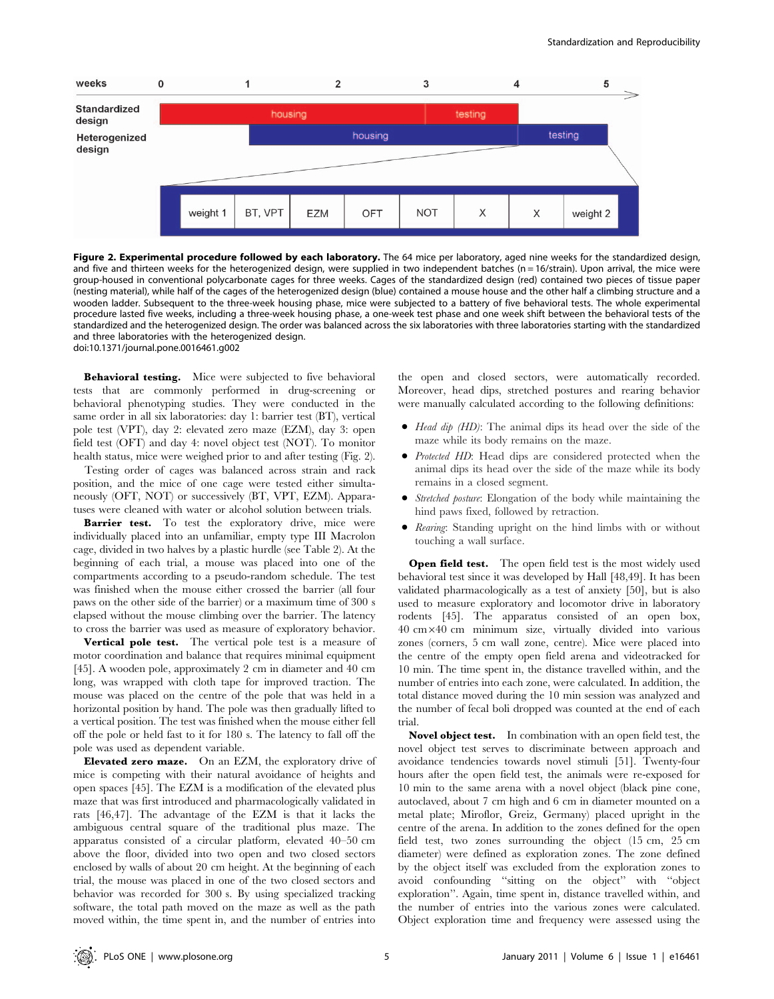

Figure 2. Experimental procedure followed by each laboratory. The 64 mice per laboratory, aged nine weeks for the standardized design, and five and thirteen weeks for the heterogenized design, were supplied in two independent batches (n = 16/strain). Upon arrival, the mice were group-housed in conventional polycarbonate cages for three weeks. Cages of the standardized design (red) contained two pieces of tissue paper (nesting material), while half of the cages of the heterogenized design (blue) contained a mouse house and the other half a climbing structure and a wooden ladder. Subsequent to the three-week housing phase, mice were subjected to a battery of five behavioral tests. The whole experimental procedure lasted five weeks, including a three-week housing phase, a one-week test phase and one week shift between the behavioral tests of the standardized and the heterogenized design. The order was balanced across the six laboratories with three laboratories starting with the standardized and three laboratories with the heterogenized design. doi:10.1371/journal.pone.0016461.g002

Behavioral testing. Mice were subjected to five behavioral tests that are commonly performed in drug-screening or behavioral phenotyping studies. They were conducted in the same order in all six laboratories: day 1: barrier test (BT), vertical pole test (VPT), day 2: elevated zero maze (EZM), day 3: open field test (OFT) and day 4: novel object test (NOT). To monitor health status, mice were weighed prior to and after testing (Fig. 2).

Testing order of cages was balanced across strain and rack position, and the mice of one cage were tested either simultaneously (OFT, NOT) or successively (BT, VPT, EZM). Apparatuses were cleaned with water or alcohol solution between trials.

Barrier test. To test the exploratory drive, mice were individually placed into an unfamiliar, empty type III Macrolon cage, divided in two halves by a plastic hurdle (see Table 2). At the beginning of each trial, a mouse was placed into one of the compartments according to a pseudo-random schedule. The test was finished when the mouse either crossed the barrier (all four paws on the other side of the barrier) or a maximum time of 300 s elapsed without the mouse climbing over the barrier. The latency to cross the barrier was used as measure of exploratory behavior.

Vertical pole test. The vertical pole test is a measure of motor coordination and balance that requires minimal equipment [45]. A wooden pole, approximately 2 cm in diameter and 40 cm long, was wrapped with cloth tape for improved traction. The mouse was placed on the centre of the pole that was held in a horizontal position by hand. The pole was then gradually lifted to a vertical position. The test was finished when the mouse either fell off the pole or held fast to it for 180 s. The latency to fall off the pole was used as dependent variable.

Elevated zero maze. On an EZM, the exploratory drive of mice is competing with their natural avoidance of heights and open spaces [45]. The EZM is a modification of the elevated plus maze that was first introduced and pharmacologically validated in rats [46,47]. The advantage of the EZM is that it lacks the ambiguous central square of the traditional plus maze. The apparatus consisted of a circular platform, elevated 40–50 cm above the floor, divided into two open and two closed sectors enclosed by walls of about 20 cm height. At the beginning of each trial, the mouse was placed in one of the two closed sectors and behavior was recorded for 300 s. By using specialized tracking software, the total path moved on the maze as well as the path moved within, the time spent in, and the number of entries into the open and closed sectors, were automatically recorded. Moreover, head dips, stretched postures and rearing behavior were manually calculated according to the following definitions:

- $\bullet$  Head dip (HD): The animal dips its head over the side of the maze while its body remains on the maze.
- Protected HD: Head dips are considered protected when the animal dips its head over the side of the maze while its body remains in a closed segment.
- Stretched posture: Elongation of the body while maintaining the hind paws fixed, followed by retraction.
- Rearing: Standing upright on the hind limbs with or without touching a wall surface.

Open field test. The open field test is the most widely used behavioral test since it was developed by Hall [48,49]. It has been validated pharmacologically as a test of anxiety [50], but is also used to measure exploratory and locomotor drive in laboratory rodents [45]. The apparatus consisted of an open box, 40 cm640 cm minimum size, virtually divided into various zones (corners, 5 cm wall zone, centre). Mice were placed into the centre of the empty open field arena and videotracked for 10 min. The time spent in, the distance travelled within, and the number of entries into each zone, were calculated. In addition, the total distance moved during the 10 min session was analyzed and the number of fecal boli dropped was counted at the end of each trial.

Novel object test. In combination with an open field test, the novel object test serves to discriminate between approach and avoidance tendencies towards novel stimuli [51]. Twenty-four hours after the open field test, the animals were re-exposed for 10 min to the same arena with a novel object (black pine cone, autoclaved, about 7 cm high and 6 cm in diameter mounted on a metal plate; Miroflor, Greiz, Germany) placed upright in the centre of the arena. In addition to the zones defined for the open field test, two zones surrounding the object (15 cm, 25 cm diameter) were defined as exploration zones. The zone defined by the object itself was excluded from the exploration zones to avoid confounding ''sitting on the object'' with ''object exploration''. Again, time spent in, distance travelled within, and the number of entries into the various zones were calculated. Object exploration time and frequency were assessed using the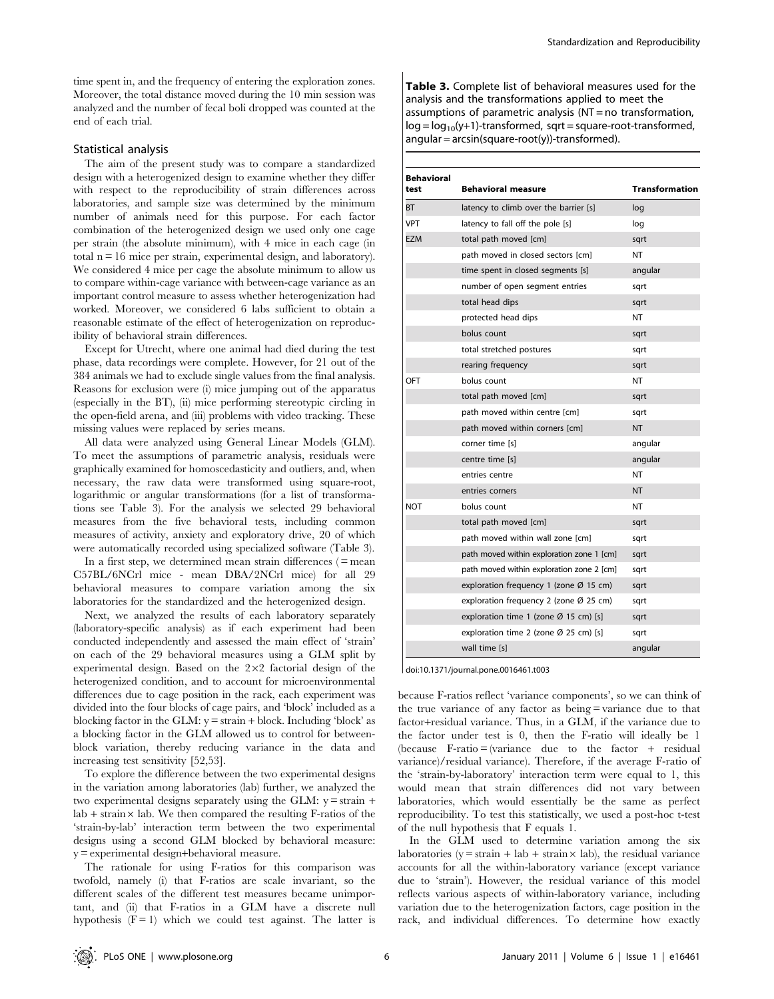time spent in, and the frequency of entering the exploration zones. Moreover, the total distance moved during the 10 min session was analyzed and the number of fecal boli dropped was counted at the end of each trial.

#### Statistical analysis

The aim of the present study was to compare a standardized design with a heterogenized design to examine whether they differ with respect to the reproducibility of strain differences across laboratories, and sample size was determined by the minimum number of animals need for this purpose. For each factor combination of the heterogenized design we used only one cage per strain (the absolute minimum), with 4 mice in each cage (in total  $n = 16$  mice per strain, experimental design, and laboratory). We considered 4 mice per cage the absolute minimum to allow us to compare within-cage variance with between-cage variance as an important control measure to assess whether heterogenization had worked. Moreover, we considered 6 labs sufficient to obtain a reasonable estimate of the effect of heterogenization on reproducibility of behavioral strain differences.

Except for Utrecht, where one animal had died during the test phase, data recordings were complete. However, for 21 out of the 384 animals we had to exclude single values from the final analysis. Reasons for exclusion were (i) mice jumping out of the apparatus (especially in the BT), (ii) mice performing stereotypic circling in the open-field arena, and (iii) problems with video tracking. These missing values were replaced by series means.

All data were analyzed using General Linear Models (GLM). To meet the assumptions of parametric analysis, residuals were graphically examined for homoscedasticity and outliers, and, when necessary, the raw data were transformed using square-root, logarithmic or angular transformations (for a list of transformations see Table 3). For the analysis we selected 29 behavioral measures from the five behavioral tests, including common measures of activity, anxiety and exploratory drive, 20 of which were automatically recorded using specialized software (Table 3).

In a first step, we determined mean strain differences  $( =$  mean C57BL/6NCrl mice - mean DBA/2NCrl mice) for all 29 behavioral measures to compare variation among the six laboratories for the standardized and the heterogenized design.

Next, we analyzed the results of each laboratory separately (laboratory-specific analysis) as if each experiment had been conducted independently and assessed the main effect of 'strain' on each of the 29 behavioral measures using a GLM split by experimental design. Based on the  $2\times2$  factorial design of the heterogenized condition, and to account for microenvironmental differences due to cage position in the rack, each experiment was divided into the four blocks of cage pairs, and 'block' included as a blocking factor in the GLM:  $y = \frac{1}{10}$  block. Including 'block' as a blocking factor in the GLM allowed us to control for betweenblock variation, thereby reducing variance in the data and increasing test sensitivity [52,53].

To explore the difference between the two experimental designs in the variation among laboratories (lab) further, we analyzed the two experimental designs separately using the GLM:  $y = \frac{1}{x}$  +  $lab + strain \times lab$ . We then compared the resulting F-ratios of the 'strain-by-lab' interaction term between the two experimental designs using a second GLM blocked by behavioral measure: y = experimental design+behavioral measure.

The rationale for using F-ratios for this comparison was twofold, namely (i) that F-ratios are scale invariant, so the different scales of the different test measures became unimportant, and (ii) that F-ratios in a GLM have a discrete null hypothesis  $(F = 1)$  which we could test against. The latter is Table 3. Complete list of behavioral measures used for the analysis and the transformations applied to meet the assumptions of parametric analysis (NT = no transformation,  $log = log_{10}(y+1)$ -transformed, sqrt = square-root-transformed,  $angular = arcsin(square-root(y)) - transformed$ .

| <b>Behavioral</b><br>test | <b>Behavioral measure</b>                          | <b>Transformation</b> |
|---------------------------|----------------------------------------------------|-----------------------|
| <b>BT</b>                 | latency to climb over the barrier [s]              | log                   |
| <b>VPT</b>                | latency to fall off the pole [s]                   | log                   |
| <b>EZM</b>                | total path moved [cm]                              | sqrt                  |
|                           | path moved in closed sectors [cm]                  | NT                    |
|                           | time spent in closed segments [s]                  | angular               |
|                           | number of open segment entries                     | sqrt                  |
|                           | total head dips                                    | sqrt                  |
|                           | protected head dips                                | NT                    |
|                           | bolus count                                        | sqrt                  |
|                           | total stretched postures                           | sqrt                  |
|                           | rearing frequency                                  | sqrt                  |
| OFT                       | bolus count                                        | <b>NT</b>             |
|                           | total path moved [cm]                              | sqrt                  |
|                           | path moved within centre [cm]                      | sqrt                  |
|                           | path moved within corners [cm]                     | <b>NT</b>             |
|                           | corner time [s]                                    | angular               |
|                           | centre time [s]                                    | angular               |
|                           | entries centre                                     | NT                    |
|                           | entries corners                                    | <b>NT</b>             |
| <b>NOT</b>                | bolus count                                        | NΤ                    |
|                           | total path moved [cm]                              | sqrt                  |
|                           | path moved within wall zone [cm]                   | sqrt                  |
|                           | path moved within exploration zone 1 [cm]          | sqrt                  |
|                           | path moved within exploration zone 2 [cm]          | sqrt                  |
|                           | exploration frequency 1 (zone $\varnothing$ 15 cm) | sqrt                  |
|                           | exploration frequency 2 (zone Ø 25 cm)             | sqrt                  |
|                           | exploration time 1 (zone $\varnothing$ 15 cm) [s]  | sqrt                  |
|                           | exploration time 2 (zone $\varnothing$ 25 cm) [s]  | sqrt                  |
|                           | wall time [s]                                      | angular               |

doi:10.1371/journal.pone.0016461.t003

because F-ratios reflect 'variance components', so we can think of the true variance of any factor as being = variance due to that factor+residual variance. Thus, in a GLM, if the variance due to the factor under test is 0, then the F-ratio will ideally be 1 (because F-ratio = (variance due to the factor + residual variance)/residual variance). Therefore, if the average F-ratio of the 'strain-by-laboratory' interaction term were equal to 1, this would mean that strain differences did not vary between laboratories, which would essentially be the same as perfect reproducibility. To test this statistically, we used a post-hoc t-test of the null hypothesis that F equals 1.

In the GLM used to determine variation among the six laboratories (y = strain + lab + strain  $\times$  lab), the residual variance accounts for all the within-laboratory variance (except variance due to 'strain'). However, the residual variance of this model reflects various aspects of within-laboratory variance, including variation due to the heterogenization factors, cage position in the rack, and individual differences. To determine how exactly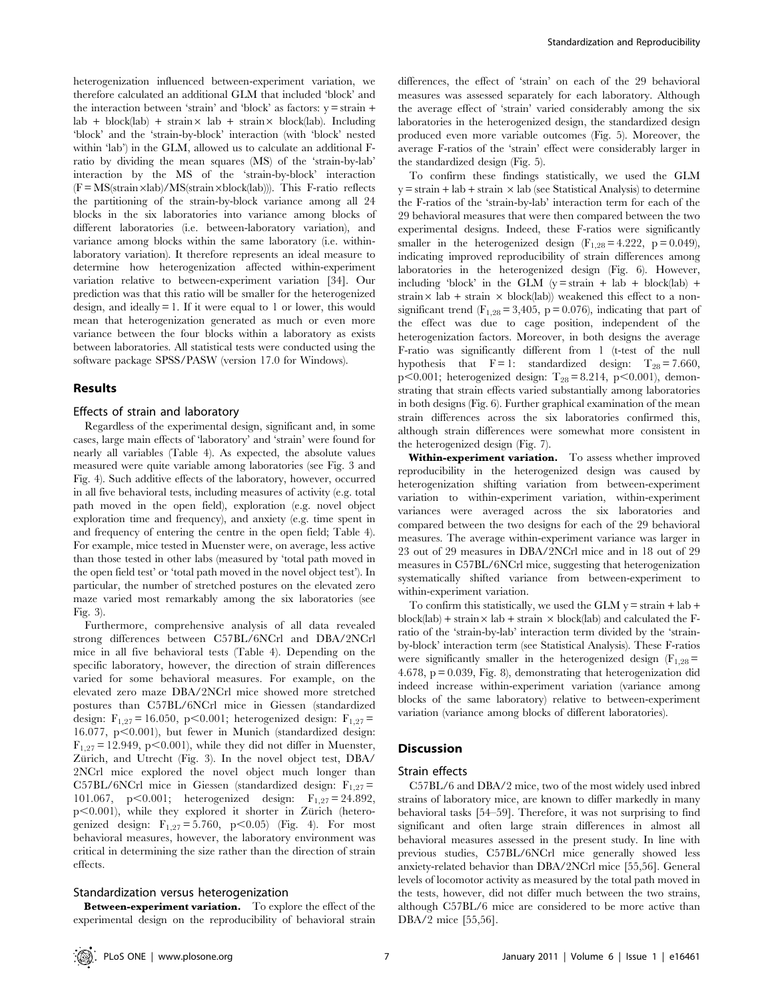heterogenization influenced between-experiment variation, we therefore calculated an additional GLM that included 'block' and the interaction between 'strain' and 'block' as factors:  $y = \frac{1}{x}$  $\text{lab} + \text{block}(\text{lab}) + \text{strain} \times \text{lab} + \text{strain} \times \text{block}(\text{lab}).$  Including 'block' and the 'strain-by-block' interaction (with 'block' nested within 'lab') in the GLM, allowed us to calculate an additional Fratio by dividing the mean squares (MS) of the 'strain-by-lab' interaction by the MS of the 'strain-by-block' interaction  $(F = MS(\text{strain} \times \text{lab})/MS(\text{strain} \times \text{block}(\text{lab})))$ . This F-ratio reflects the partitioning of the strain-by-block variance among all 24 blocks in the six laboratories into variance among blocks of different laboratories (i.e. between-laboratory variation), and variance among blocks within the same laboratory (i.e. withinlaboratory variation). It therefore represents an ideal measure to determine how heterogenization affected within-experiment variation relative to between-experiment variation [34]. Our prediction was that this ratio will be smaller for the heterogenized design, and ideally = 1. If it were equal to 1 or lower, this would mean that heterogenization generated as much or even more variance between the four blocks within a laboratory as exists between laboratories. All statistical tests were conducted using the software package SPSS/PASW (version 17.0 for Windows).

#### Results

#### Effects of strain and laboratory

Regardless of the experimental design, significant and, in some cases, large main effects of 'laboratory' and 'strain' were found for nearly all variables (Table 4). As expected, the absolute values measured were quite variable among laboratories (see Fig. 3 and Fig. 4). Such additive effects of the laboratory, however, occurred in all five behavioral tests, including measures of activity (e.g. total path moved in the open field), exploration (e.g. novel object exploration time and frequency), and anxiety (e.g. time spent in and frequency of entering the centre in the open field; Table 4). For example, mice tested in Muenster were, on average, less active than those tested in other labs (measured by 'total path moved in the open field test' or 'total path moved in the novel object test'). In particular, the number of stretched postures on the elevated zero maze varied most remarkably among the six laboratories (see Fig. 3).

Furthermore, comprehensive analysis of all data revealed strong differences between C57BL/6NCrl and DBA/2NCrl mice in all five behavioral tests (Table 4). Depending on the specific laboratory, however, the direction of strain differences varied for some behavioral measures. For example, on the elevated zero maze DBA/2NCrl mice showed more stretched postures than C57BL/6NCrl mice in Giessen (standardized design:  $F_{1,27} = 16.050$ , p $\leq 0.001$ ; heterogenized design:  $F_{1,27}$ 16.077, p $<$ 0.001), but fewer in Munich (standardized design:  $F_{1,27} = 12.949$ , p $\leq 0.001$ ), while they did not differ in Muenster, Zürich, and Utrecht (Fig. 3). In the novel object test, DBA/ 2NCrl mice explored the novel object much longer than C57BL/6NCrl mice in Giessen (standardized design:  $F_{1,27}$  = 101.067, p<0.001; heterogenized design:  $F_{1,27} = 24.892$ ,  $p<0.001$ ), while they explored it shorter in Zürich (heterogenized design:  $F_{1,27} = 5.760$ ,  $p < 0.05$ ) (Fig. 4). For most behavioral measures, however, the laboratory environment was critical in determining the size rather than the direction of strain effects.

#### Standardization versus heterogenization

Between-experiment variation. To explore the effect of the experimental design on the reproducibility of behavioral strain differences, the effect of 'strain' on each of the 29 behavioral measures was assessed separately for each laboratory. Although the average effect of 'strain' varied considerably among the six laboratories in the heterogenized design, the standardized design produced even more variable outcomes (Fig. 5). Moreover, the average F-ratios of the 'strain' effect were considerably larger in the standardized design (Fig. 5).

To confirm these findings statistically, we used the GLM  $y = \frac{1}{2}$  + strain  $\times$  lab (see Statistical Analysis) to determine the F-ratios of the 'strain-by-lab' interaction term for each of the 29 behavioral measures that were then compared between the two experimental designs. Indeed, these F-ratios were significantly smaller in the heterogenized design  $(F_{1,28} = 4.222, p = 0.049)$ , indicating improved reproducibility of strain differences among laboratories in the heterogenized design (Fig. 6). However, including 'block' in the GLM ( $y = \frac{1}{10}$  + lab + block(lab) + strain  $\times$  lab + strain  $\times$  block(lab)) weakened this effect to a nonsignificant trend ( $F_{1,28}$  = 3,405, p = 0.076), indicating that part of the effect was due to cage position, independent of the heterogenization factors. Moreover, in both designs the average F-ratio was significantly different from 1 (t-test of the null hypothesis that  $F = 1$ : standardized design:  $T_{28} = 7.660$ , p<0.001; heterogenized design:  $T_{28} = 8.214$ , p<0.001), demonstrating that strain effects varied substantially among laboratories in both designs (Fig. 6). Further graphical examination of the mean strain differences across the six laboratories confirmed this, although strain differences were somewhat more consistent in the heterogenized design (Fig. 7).

Within-experiment variation. To assess whether improved reproducibility in the heterogenized design was caused by heterogenization shifting variation from between-experiment variation to within-experiment variation, within-experiment variances were averaged across the six laboratories and compared between the two designs for each of the 29 behavioral measures. The average within-experiment variance was larger in 23 out of 29 measures in DBA/2NCrl mice and in 18 out of 29 measures in C57BL/6NCrl mice, suggesting that heterogenization systematically shifted variance from between-experiment to within-experiment variation.

To confirm this statistically, we used the GLM  $y = \frac{1}{10} + \frac{1}{100}$ block(lab) + strain  $\times$  lab + strain  $\times$  block(lab) and calculated the Fratio of the 'strain-by-lab' interaction term divided by the 'strainby-block' interaction term (see Statistical Analysis). These F-ratios were significantly smaller in the heterogenized design  $(F_{1,28}$ = 4.678, p = 0.039, Fig. 8), demonstrating that heterogenization did indeed increase within-experiment variation (variance among blocks of the same laboratory) relative to between-experiment variation (variance among blocks of different laboratories).

# **Discussion**

#### Strain effects

C57BL/6 and DBA/2 mice, two of the most widely used inbred strains of laboratory mice, are known to differ markedly in many behavioral tasks [54–59]. Therefore, it was not surprising to find significant and often large strain differences in almost all behavioral measures assessed in the present study. In line with previous studies, C57BL/6NCrl mice generally showed less anxiety-related behavior than DBA/2NCrl mice [55,56]. General levels of locomotor activity as measured by the total path moved in the tests, however, did not differ much between the two strains, although C57BL/6 mice are considered to be more active than DBA/2 mice [55,56].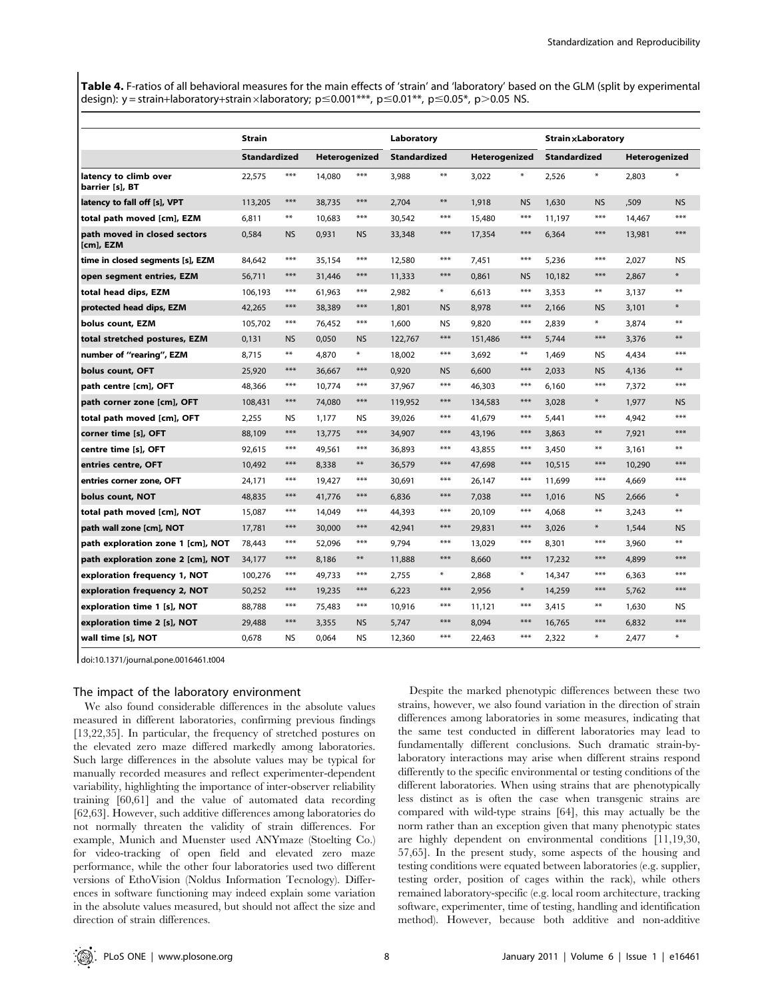Table 4. F-ratios of all behavioral measures for the main effects of 'strain' and 'laboratory' based on the GLM (split by experimental design): y = strain+laboratory+strain xlaboratory; p  $\leq$  0.001\*\*\*, p  $\leq$  0.01\*\*, p  $\leq$  0.05\*, p $>$ 0.05 NS.

|                                           | <b>Strain</b>       |            |        |               |                     | Laboratory |               |           |                     | <b>Strain × Laboratory</b> |               |           |  |
|-------------------------------------------|---------------------|------------|--------|---------------|---------------------|------------|---------------|-----------|---------------------|----------------------------|---------------|-----------|--|
|                                           | <b>Standardized</b> |            |        | Heterogenized | <b>Standardized</b> |            | Heterogenized |           | <b>Standardized</b> |                            | Heterogenized |           |  |
| latency to climb over<br>barrier [s], BT  | 22,575              | $***$      | 14,080 | ***           | 3,988               | $***$      | 3,022         | $\ast$    | 2,526               | $\ast$                     | 2,803         |           |  |
| latency to fall off [s], VPT              | 113,205             | $***$      | 38,735 | ***           | 2,704               | $***$      | 1,918         | <b>NS</b> | 1.630               | <b>NS</b>                  | .509          | <b>NS</b> |  |
| total path moved [cm], EZM                | 6,811               | $***$      | 10.683 | ***           | 30,542              | $***$      | 15,480        | $***$     | 11,197              | $***$                      | 14.467        | $***$     |  |
| path moved in closed sectors<br>[cm], EZM | 0,584               | <b>NS</b>  | 0,931  | <b>NS</b>     | 33,348              | ***        | 17,354        | $***$     | 6,364               | ***                        | 13,981        | ***       |  |
| time in closed segments [s], EZM          | 84,642              | $***$      | 35,154 | $***$         | 12,580              | $***$      | 7,451         | $***$     | 5,236               | $***$                      | 2,027         | <b>NS</b> |  |
| open segment entries, EZM                 | 56,711              | $***$      | 31,446 | $***$         | 11,333              | $***$      | 0,861         | <b>NS</b> | 10,182              | $***$                      | 2,867         | $\ast$    |  |
| total head dips, EZM                      | 106,193             | $***$      | 61,963 | ***           | 2,982               | $\ast$     | 6,613         | $***$     | 3,353               | $***$                      | 3,137         | $***$     |  |
| protected head dips, EZM                  | 42,265              | $***$      | 38,389 | ***           | 1,801               | <b>NS</b>  | 8,978         | $***$     | 2,166               | <b>NS</b>                  | 3,101         | $\ast$    |  |
| bolus count, EZM                          | 105,702             | $***$      | 76,452 | ***           | 1,600               | <b>NS</b>  | 9,820         | $***$     | 2,839               | $\ast$                     | 3,874         | $***$     |  |
| total stretched postures, EZM             | 0,131               | <b>NS</b>  | 0,050  | <b>NS</b>     | 122,767             | $***$      | 151,486       | $***$     | 5,744               | ***                        | 3,376         | $***$     |  |
| number of "rearing", EZM                  | 8,715               | $\ast\ast$ | 4,870  | $\ast$        | 18,002              | $***$      | 3,692         | $***$     | 1,469               | <b>NS</b>                  | 4,434         | $***$     |  |
| bolus count, OFT                          | 25,920              | $***$      | 36,667 | $***$         | 0,920               | <b>NS</b>  | 6,600         | $***$     | 2,033               | <b>NS</b>                  | 4,136         | $***$     |  |
| path centre [cm], OFT                     | 48,366              | $***$      | 10.774 | ***           | 37,967              | $***$      | 46,303        | $***$     | 6,160               | $***$                      | 7,372         | ***       |  |
| path corner zone [cm], OFT                | 108,431             | $***$      | 74,080 | ***           | 119,952             | $***$      | 134,583       | $***$     | 3,028               | $\ast$                     | 1,977         | <b>NS</b> |  |
| total path moved [cm], OFT                | 2,255               | NS.        | 1,177  | NS            | 39,026              | $***$      | 41,679        | $***$     | 5,441               | $***$                      | 4,942         | ***       |  |
| corner time [s], OFT                      | 88,109              | $***$      | 13,775 | $***$         | 34,907              | $***$      | 43,196        | $***$     | 3,863               | $***$                      | 7,921         | ***       |  |
| centre time [s], OFT                      | 92,615              | $***$      | 49,561 | $***$         | 36,893              | $***$      | 43,855        | $***$     | 3,450               | $***$                      | 3,161         | $***$     |  |
| entries centre, OFT                       | 10,492              | $***$      | 8,338  | $***$         | 36,579              | $***$      | 47,698        | $***$     | 10,515              | ***                        | 10,290        | $***$     |  |
| entries corner zone, OFT                  | 24,171              | $***$      | 19,427 | ***           | 30,691              | $***$      | 26,147        | $***$     | 11,699              | ***                        | 4.669         | ***       |  |
| bolus count, NOT                          | 48,835              | $***$      | 41.776 | ***           | 6,836               | ***        | 7,038         | $***$     | 1,016               | <b>NS</b>                  | 2,666         | $\ast$    |  |
| total path moved [cm], NOT                | 15,087              | $***$      | 14,049 | $***$         | 44,393              | $***$      | 20,109        | $***$     | 4,068               | $***$                      | 3,243         | $***$     |  |
| path wall zone [cm], NOT                  | 17,781              | $***$      | 30,000 | ***           | 42,941              | $***$      | 29,831        | $***$     | 3,026               | $\ast$                     | 1,544         | <b>NS</b> |  |
| path exploration zone 1 [cm], NOT         | 78,443              | $***$      | 52,096 | ***           | 9,794               | $***$      | 13,029        | $***$     | 8,301               | $***$                      | 3,960         | $***$     |  |
| path exploration zone 2 [cm], NOT         | 34,177              | $***$      | 8,186  | $***$         | 11,888              | $***$      | 8,660         | $***$     | 17,232              | ***                        | 4,899         | $***$     |  |
| exploration frequency 1, NOT              | 100,276             | $***$      | 49,733 | $***$         | 2,755               | $\ast$     | 2,868         | $\ast$    | 14,347              | $***$                      | 6,363         | $***$     |  |
| exploration frequency 2, NOT              | 50,252              | $***$      | 19,235 | ***           | 6,223               | $***$      | 2,956         | $\ast$    | 14,259              | ***                        | 5,762         | $***$     |  |
| exploration time 1 [s], NOT               | 88,788              | $***$      | 75,483 | ***           | 10,916              | $***$      | 11,121        | $***$     | 3,415               | $***$                      | 1,630         | NS.       |  |
| exploration time 2 [s], NOT               | 29,488              | $***$      | 3,355  | <b>NS</b>     | 5,747               | ***        | 8,094         | $***$     | 16,765              | $***$                      | 6,832         | ***       |  |
| wall time [s], NOT                        | 0,678               | <b>NS</b>  | 0,064  | <b>NS</b>     | 12,360              | $***$      | 22,463        | $***$     | 2,322               | $\ast$                     | 2,477         |           |  |

doi:10.1371/journal.pone.0016461.t004

#### The impact of the laboratory environment

We also found considerable differences in the absolute values measured in different laboratories, confirming previous findings [13,22,35]. In particular, the frequency of stretched postures on the elevated zero maze differed markedly among laboratories. Such large differences in the absolute values may be typical for manually recorded measures and reflect experimenter-dependent variability, highlighting the importance of inter-observer reliability training [60,61] and the value of automated data recording [62,63]. However, such additive differences among laboratories do not normally threaten the validity of strain differences. For example, Munich and Muenster used ANYmaze (Stoelting Co.) for video-tracking of open field and elevated zero maze performance, while the other four laboratories used two different versions of EthoVision (Noldus Information Tecnology). Differences in software functioning may indeed explain some variation in the absolute values measured, but should not affect the size and direction of strain differences.

Despite the marked phenotypic differences between these two strains, however, we also found variation in the direction of strain differences among laboratories in some measures, indicating that the same test conducted in different laboratories may lead to fundamentally different conclusions. Such dramatic strain-bylaboratory interactions may arise when different strains respond differently to the specific environmental or testing conditions of the different laboratories. When using strains that are phenotypically less distinct as is often the case when transgenic strains are compared with wild-type strains [64], this may actually be the norm rather than an exception given that many phenotypic states are highly dependent on environmental conditions [11,19,30, 57,65]. In the present study, some aspects of the housing and testing conditions were equated between laboratories (e.g. supplier, testing order, position of cages within the rack), while others remained laboratory-specific (e.g. local room architecture, tracking software, experimenter, time of testing, handling and identification method). However, because both additive and non-additive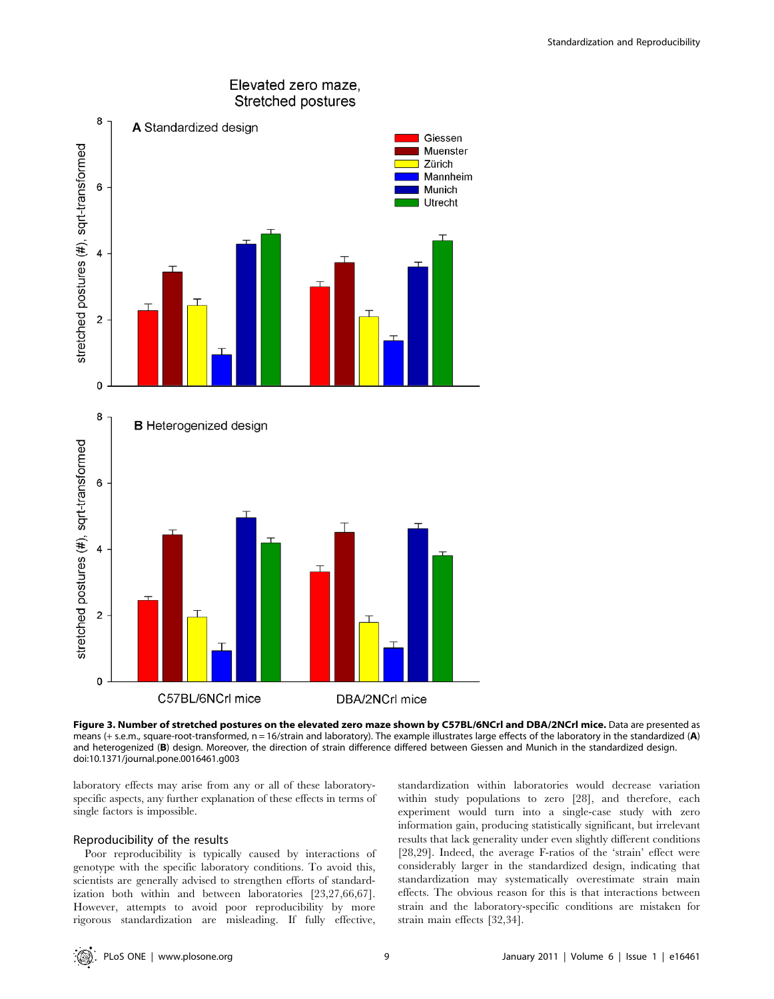

Figure 3. Number of stretched postures on the elevated zero maze shown by C57BL/6NCrl and DBA/2NCrl mice. Data are presented as means (+ s.e.m., square-root-transformed,  $n = 16$ /strain and laboratory). The example illustrates large effects of the laboratory in the standardized (A) and heterogenized (B) design. Moreover, the direction of strain difference differed between Giessen and Munich in the standardized design. doi:10.1371/journal.pone.0016461.g003

laboratory effects may arise from any or all of these laboratoryspecific aspects, any further explanation of these effects in terms of single factors is impossible.

# Reproducibility of the results

Poor reproducibility is typically caused by interactions of genotype with the specific laboratory conditions. To avoid this, scientists are generally advised to strengthen efforts of standardization both within and between laboratories [23,27,66,67]. However, attempts to avoid poor reproducibility by more rigorous standardization are misleading. If fully effective,

standardization within laboratories would decrease variation within study populations to zero [28], and therefore, each experiment would turn into a single-case study with zero information gain, producing statistically significant, but irrelevant results that lack generality under even slightly different conditions [28,29]. Indeed, the average F-ratios of the 'strain' effect were considerably larger in the standardized design, indicating that standardization may systematically overestimate strain main effects. The obvious reason for this is that interactions between strain and the laboratory-specific conditions are mistaken for strain main effects [32,34].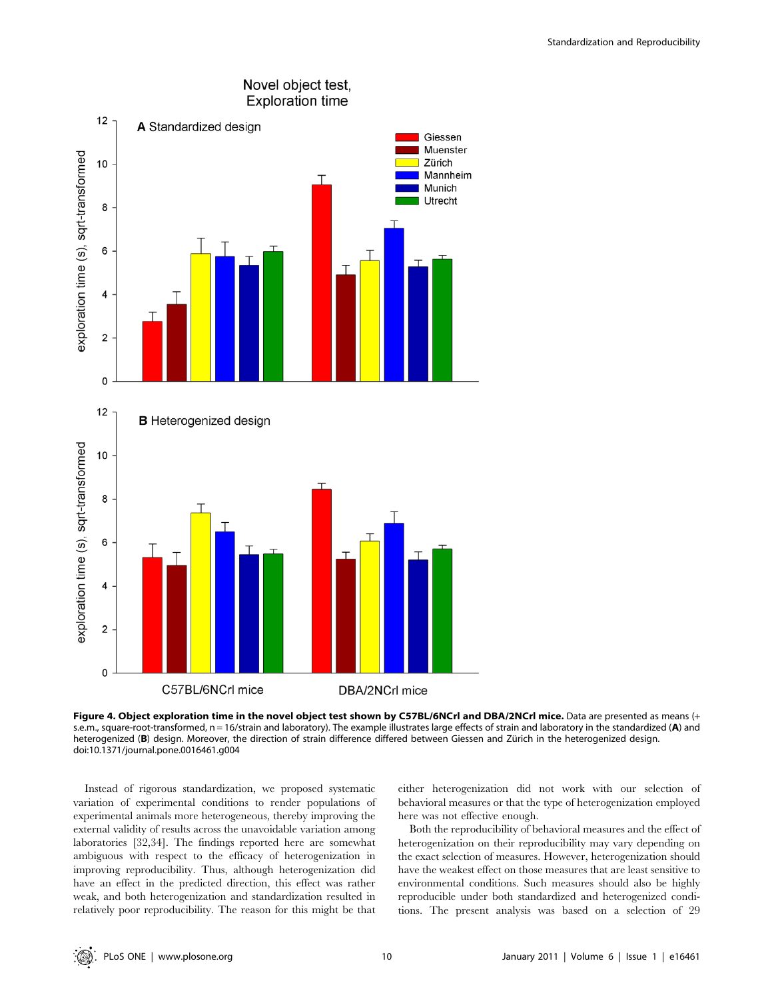



Instead of rigorous standardization, we proposed systematic variation of experimental conditions to render populations of experimental animals more heterogeneous, thereby improving the external validity of results across the unavoidable variation among laboratories [32,34]. The findings reported here are somewhat ambiguous with respect to the efficacy of heterogenization in improving reproducibility. Thus, although heterogenization did have an effect in the predicted direction, this effect was rather weak, and both heterogenization and standardization resulted in relatively poor reproducibility. The reason for this might be that either heterogenization did not work with our selection of behavioral measures or that the type of heterogenization employed here was not effective enough.

Both the reproducibility of behavioral measures and the effect of heterogenization on their reproducibility may vary depending on the exact selection of measures. However, heterogenization should have the weakest effect on those measures that are least sensitive to environmental conditions. Such measures should also be highly reproducible under both standardized and heterogenized conditions. The present analysis was based on a selection of 29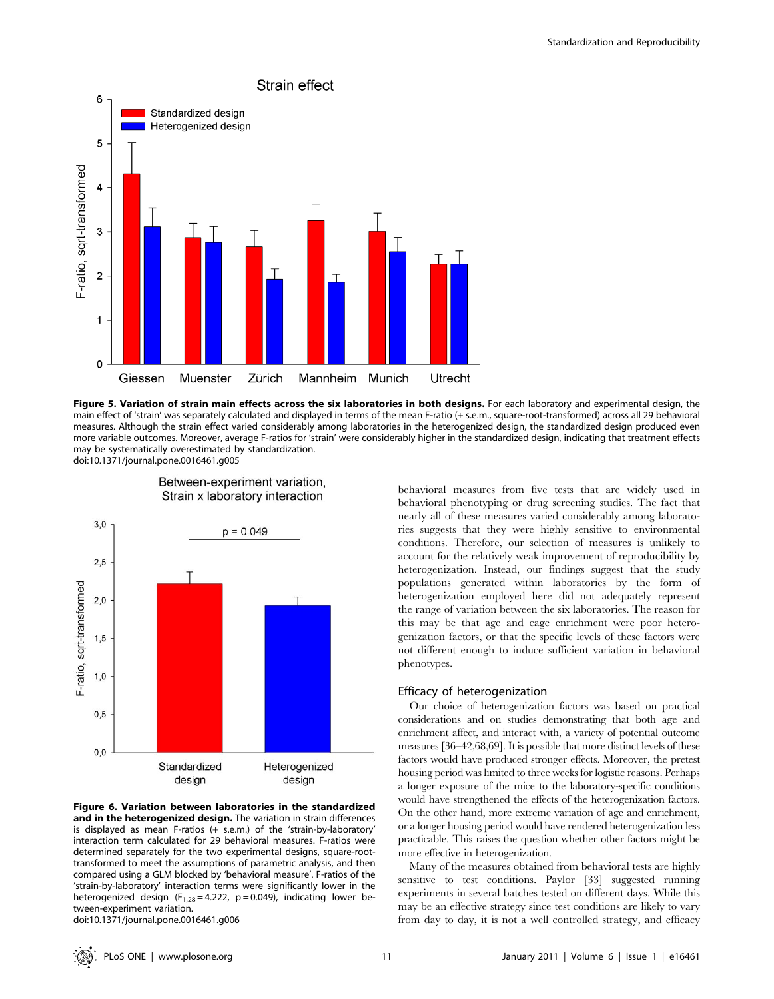

Figure 5. Variation of strain main effects across the six laboratories in both designs. For each laboratory and experimental design, the main effect of 'strain' was separately calculated and displayed in terms of the mean F-ratio (+ s.e.m., square-root-transformed) across all 29 behavioral measures. Although the strain effect varied considerably among laboratories in the heterogenized design, the standardized design produced even more variable outcomes. Moreover, average F-ratios for 'strain' were considerably higher in the standardized design, indicating that treatment effects may be systematically overestimated by standardization.

doi:10.1371/journal.pone.0016461.g005



Figure 6. Variation between laboratories in the standardized and in the heterogenized design. The variation in strain differences is displayed as mean F-ratios (+ s.e.m.) of the 'strain-by-laboratory' interaction term calculated for 29 behavioral measures. F-ratios were determined separately for the two experimental designs, square-roottransformed to meet the assumptions of parametric analysis, and then compared using a GLM blocked by 'behavioral measure'. F-ratios of the 'strain-by-laboratory' interaction terms were significantly lower in the heterogenized design ( $F_{1,28} = 4.222$ ,  $p = 0.049$ ), indicating lower between-experiment variation.

doi:10.1371/journal.pone.0016461.g006

Between-experiment variation, Strain x laboratory interaction

behavioral measures from five tests that are widely used in behavioral phenotyping or drug screening studies. The fact that nearly all of these measures varied considerably among laboratories suggests that they were highly sensitive to environmental conditions. Therefore, our selection of measures is unlikely to account for the relatively weak improvement of reproducibility by heterogenization. Instead, our findings suggest that the study populations generated within laboratories by the form of heterogenization employed here did not adequately represent the range of variation between the six laboratories. The reason for this may be that age and cage enrichment were poor heterogenization factors, or that the specific levels of these factors were not different enough to induce sufficient variation in behavioral phenotypes.

#### Efficacy of heterogenization

Our choice of heterogenization factors was based on practical considerations and on studies demonstrating that both age and enrichment affect, and interact with, a variety of potential outcome measures [36–42,68,69]. It is possible that more distinct levels of these factors would have produced stronger effects. Moreover, the pretest housing period was limited to three weeks for logistic reasons. Perhaps a longer exposure of the mice to the laboratory-specific conditions would have strengthened the effects of the heterogenization factors. On the other hand, more extreme variation of age and enrichment, or a longer housing period would have rendered heterogenization less practicable. This raises the question whether other factors might be more effective in heterogenization.

Many of the measures obtained from behavioral tests are highly sensitive to test conditions. Paylor [33] suggested running experiments in several batches tested on different days. While this may be an effective strategy since test conditions are likely to vary from day to day, it is not a well controlled strategy, and efficacy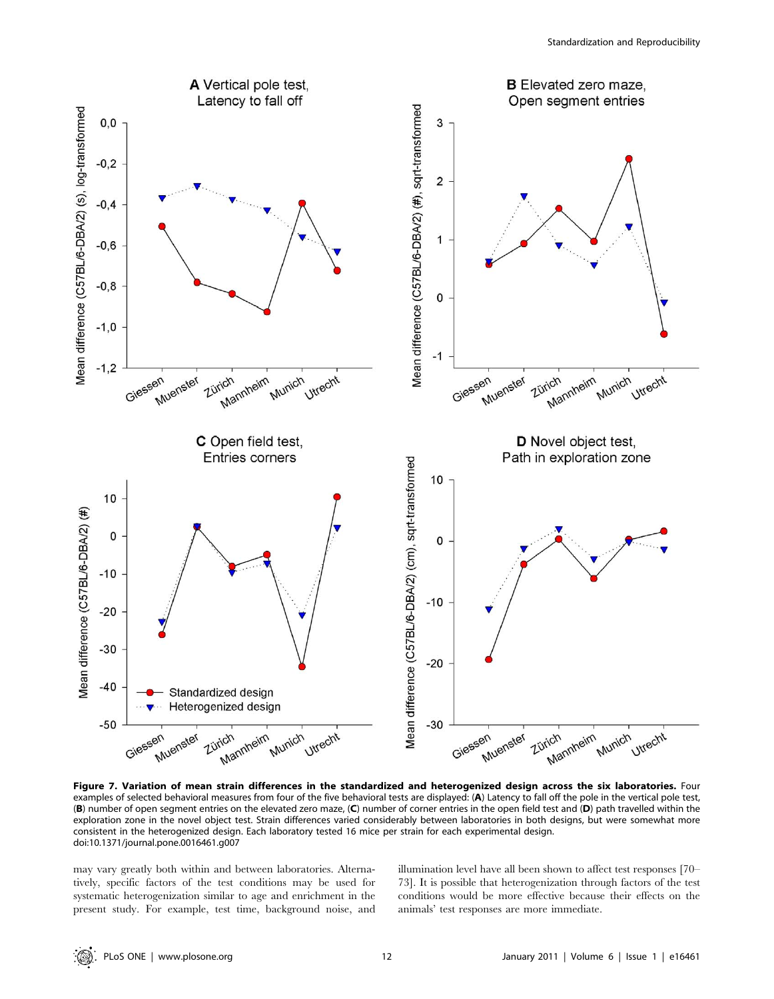

Figure 7. Variation of mean strain differences in the standardized and heterogenized design across the six laboratories. Four examples of selected behavioral measures from four of the five behavioral tests are displayed: (A) Latency to fall off the pole in the vertical pole test, (B) number of open segment entries on the elevated zero maze, (C) number of corner entries in the open field test and (D) path travelled within the exploration zone in the novel object test. Strain differences varied considerably between laboratories in both designs, but were somewhat more consistent in the heterogenized design. Each laboratory tested 16 mice per strain for each experimental design. doi:10.1371/journal.pone.0016461.g007

may vary greatly both within and between laboratories. Alternatively, specific factors of the test conditions may be used for systematic heterogenization similar to age and enrichment in the present study. For example, test time, background noise, and illumination level have all been shown to affect test responses [70– 73]. It is possible that heterogenization through factors of the test conditions would be more effective because their effects on the animals' test responses are more immediate.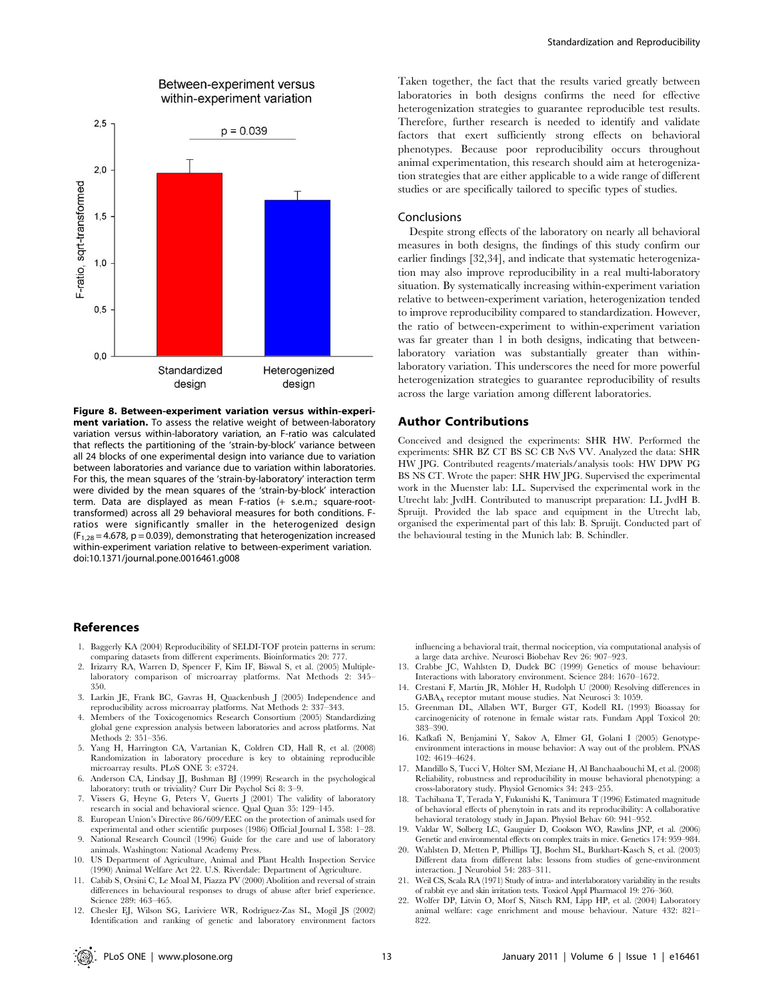

Between-experiment versus

Figure 8. Between-experiment variation versus within-experiment variation. To assess the relative weight of between-laboratory variation versus within-laboratory variation, an F-ratio was calculated that reflects the partitioning of the 'strain-by-block' variance between all 24 blocks of one experimental design into variance due to variation between laboratories and variance due to variation within laboratories. For this, the mean squares of the 'strain-by-laboratory' interaction term were divided by the mean squares of the 'strain-by-block' interaction term. Data are displayed as mean F-ratios (+ s.e.m.; square-roottransformed) across all 29 behavioral measures for both conditions. Fratios were significantly smaller in the heterogenized design  $(F<sub>1,28</sub> = 4.678, p = 0.039)$ , demonstrating that heterogenization increased within-experiment variation relative to between-experiment variation. doi:10.1371/journal.pone.0016461.g008

# References

- 1. Baggerly KA (2004) Reproducibility of SELDI-TOF protein patterns in serum: comparing datasets from different experiments. Bioinformatics 20: 777.
- 2. Irizarry RA, Warren D, Spencer F, Kim IF, Biswal S, et al. (2005) Multiplelaboratory comparison of microarray platforms. Nat Methods 2: 345– 350.
- 3. Larkin JE, Frank BC, Gavras H, Quackenbush J (2005) Independence and reproducibility across microarray platforms. Nat Methods 2: 337–343.
- 4. Members of the Toxicogenomics Research Consortium (2005) Standardizing global gene expression analysis between laboratories and across platforms. Nat Methods 2: 351–356.
- 5. Yang H, Harrington CA, Vartanian K, Coldren CD, Hall R, et al. (2008) Randomization in laboratory procedure is key to obtaining reproducible microarray results. PLoS ONE 3: e3724.
- 6. Anderson CA, Lindsay JJ, Bushman BJ (1999) Research in the psychological laboratory: truth or triviality? Curr Dir Psychol Sci 8: 3–9.
- 7. Vissers G, Heyne G, Peters V, Guerts J (2001) The validity of laboratory research in social and behavioral science. Qual Quan 35: 129–145.
- 8. European Union's Directive 86/609/EEC on the protection of animals used for experimental and other scientific purposes (1986) Official Journal L 358: 1–28.
- 9. National Research Council (1996) Guide for the care and use of laboratory animals. Washington: National Academy Press.
- 10. US Department of Agriculture, Animal and Plant Health Inspection Service (1990) Animal Welfare Act 22. U.S. Riverdale: Department of Agriculture.
- 11. Cabib S, Orsini C, Le Moal M, Piazza PV (2000) Abolition and reversal of strain differences in behavioural responses to drugs of abuse after brief experience. Science 289: 463–465.
- 12. Chesler EJ, Wilson SG, Lariviere WR, Rodriguez-Zas SL, Mogil JS (2002) Identification and ranking of genetic and laboratory environment factors

Taken together, the fact that the results varied greatly between laboratories in both designs confirms the need for effective heterogenization strategies to guarantee reproducible test results. Therefore, further research is needed to identify and validate factors that exert sufficiently strong effects on behavioral phenotypes. Because poor reproducibility occurs throughout animal experimentation, this research should aim at heterogenization strategies that are either applicable to a wide range of different studies or are specifically tailored to specific types of studies.

#### Conclusions

Despite strong effects of the laboratory on nearly all behavioral measures in both designs, the findings of this study confirm our earlier findings [32,34], and indicate that systematic heterogenization may also improve reproducibility in a real multi-laboratory situation. By systematically increasing within-experiment variation relative to between-experiment variation, heterogenization tended to improve reproducibility compared to standardization. However, the ratio of between-experiment to within-experiment variation was far greater than 1 in both designs, indicating that betweenlaboratory variation was substantially greater than withinlaboratory variation. This underscores the need for more powerful heterogenization strategies to guarantee reproducibility of results across the large variation among different laboratories.

#### Author Contributions

Conceived and designed the experiments: SHR HW. Performed the experiments: SHR BZ CT BS SC CB NvS VV. Analyzed the data: SHR HW JPG. Contributed reagents/materials/analysis tools: HW DPW PG BS NS CT. Wrote the paper: SHR HW JPG. Supervised the experimental work in the Muenster lab: LL. Supervised the experimental work in the Utrecht lab: JvdH. Contributed to manuscript preparation: LL JvdH B. Spruijt. Provided the lab space and equipment in the Utrecht lab, organised the experimental part of this lab: B. Spruijt. Conducted part of the behavioural testing in the Munich lab: B. Schindler.

influencing a behavioral trait, thermal nociception, via computational analysis of a large data archive. Neurosci Biobehav Rev 26: 907–923.

- 13. Crabbe JC, Wahlsten D, Dudek BC (1999) Genetics of mouse behaviour: Interactions with laboratory environment. Science 284: 1670–1672.
- 14. Crestani F, Martin JR, Möhler H, Rudolph U $\left( 2000\right)$  Resolving differences in GABAA receptor mutant mouse studies. Nat Neurosci 3: 1059.
- 15. Greenman DL, Allaben WT, Burger GT, Kodell RL (1993) Bioassay for carcinogenicity of rotenone in female wistar rats. Fundam Appl Toxicol 20: 383–390.
- 16. Kafkafi N, Benjamini Y, Sakov A, Elmer GI, Golani I (2005) Genotypeenvironment interactions in mouse behavior: A way out of the problem. PNAS 102: 4619–4624.
- 17. Mandillo S, Tucci V, Hölter SM, Meziane H, Al Banchaabouchi M, et al. (2008) Reliability, robustness and reproducibility in mouse behavioral phenotyping: a cross-laboratory study. Physiol Genomics 34: 243–255.
- 18. Tachibana T, Terada Y, Fukunishi K, Tanimura T (1996) Estimated magnitude of behavioral effects of phenytoin in rats and its reproducibility: A collaborative behavioral teratology study in Japan. Physiol Behav 60: 941–952.
- 19. Valdar W, Solberg LC, Gauguier D, Cookson WO, Rawlins JNP, et al. (2006) Genetic and environmental effects on complex traits in mice. Genetics 174: 959–984.
- 20. Wahlsten D, Metten P, Phillips TJ, Boehm SL, Burkhart-Kasch S, et al. (2003) Different data from different labs: lessons from studies of gene-environment interaction. J Neurobiol 54: 283–311.
- 21. Weil CS, Scala RA (1971) Study of intra- and interlaboratory variability in the results of rabbit eye and skin irritation tests. Toxicol Appl Pharmacol 19: 276–360.
- 22. Wolfer DP, Litvin O, Morf S, Nitsch RM, Lipp HP, et al. (2004) Laboratory animal welfare: cage enrichment and mouse behaviour. Nature 432: 821– 822.